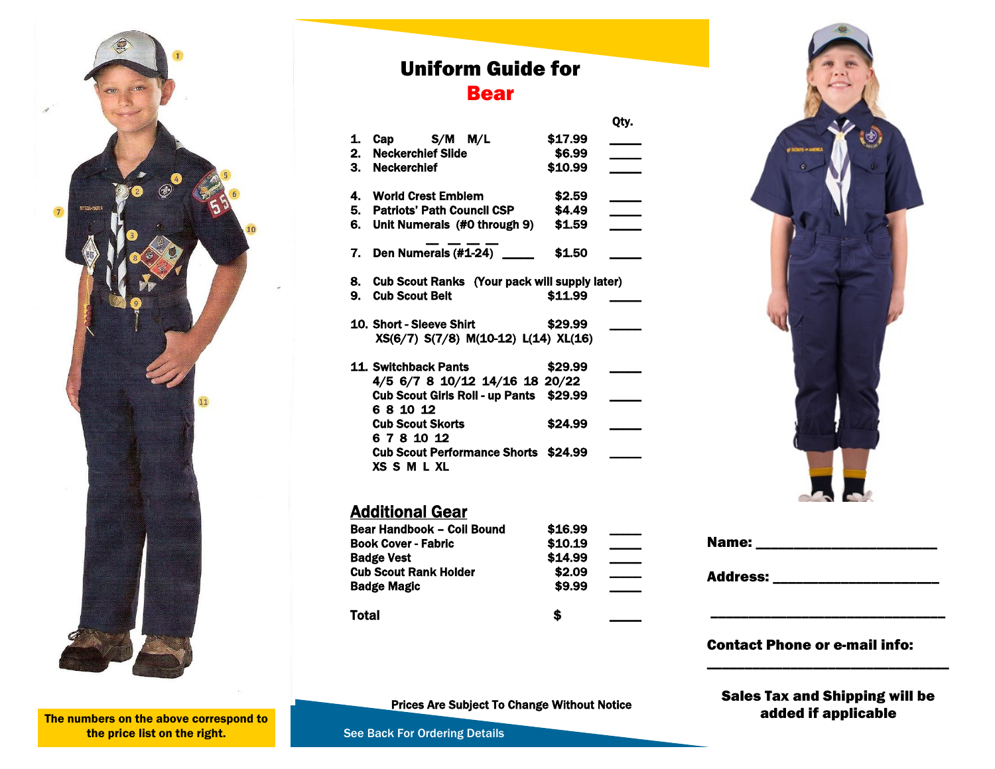

# Uniform Guide for Bear

Qty.

| 1. | Cap $S/M$ $M/L$<br>2. Neckerchief Slide<br>3. Neckerchief                                                   | \$17.99<br>\$6.99<br>\$10.99 |  |
|----|-------------------------------------------------------------------------------------------------------------|------------------------------|--|
| 6. | 4. World Crest Emblem<br>5. Patriots' Path Council CSP<br>Unit Numerals (#0 through 9)                      | \$2.59<br>\$4.49<br>\$1.59   |  |
| 7. | Den Numerals (#1-24)                                                                                        | \$1.50                       |  |
|    | 8. Cub Scout Ranks (Your pack will supply later)<br>9. Cub Scout Belt                                       | \$11.99                      |  |
|    | 10. Short - Sleeve Shirt<br>XS(6/7) S(7/8) M(10-12) L(14) XL(16)                                            | \$29.99                      |  |
|    | 11. Switchback Pants<br>4/5 6/7 8 10/12 14/16 18 20/22<br>Cub Scout Girls Roll - up Pants \$29.99<br>681012 | \$29.99                      |  |
|    | <b>Cub Scout Skorts</b><br>6781012<br><b>Cub Scout Performance Shorts \$24.99</b><br><b>XS S M L XL</b>     | \$24.99                      |  |

## **Additional Gear**

| Bear Handbook - Coil Bound   | \$16.99 |  |
|------------------------------|---------|--|
| <b>Book Cover - Fabric</b>   | \$10.19 |  |
| <b>Badge Vest</b>            | \$14.99 |  |
| <b>Cub Scout Rank Holder</b> | \$2.09  |  |
| <b>Badge Magic</b>           | \$9.99  |  |
| Total                        | £       |  |



| Name:           |  |  |
|-----------------|--|--|
| <b>Address:</b> |  |  |
|                 |  |  |
|                 |  |  |

### Contact Phone or e-mail info:

Prices Are Subject To Change Without Notice

Sales Tax and Shipping will be added if applicable

\_\_\_\_\_\_\_\_\_\_\_\_\_\_\_\_\_\_\_\_\_\_\_\_\_\_\_\_\_\_\_\_

The numbers on the above correspond to the price list on the right.

See Back For Ordering Details